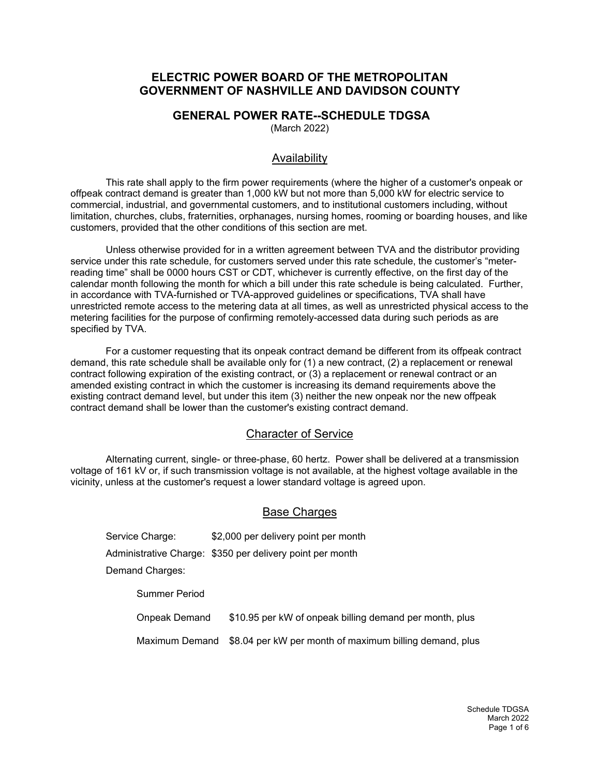# **ELECTRIC POWER BOARD OF THE METROPOLITAN GOVERNMENT OF NASHVILLE AND DAVIDSON COUNTY**

### **GENERAL POWER RATE--SCHEDULE TDGSA**

(March 2022)

### Availability

This rate shall apply to the firm power requirements (where the higher of a customer's onpeak or offpeak contract demand is greater than 1,000 kW but not more than 5,000 kW for electric service to commercial, industrial, and governmental customers, and to institutional customers including, without limitation, churches, clubs, fraternities, orphanages, nursing homes, rooming or boarding houses, and like customers, provided that the other conditions of this section are met.

Unless otherwise provided for in a written agreement between TVA and the distributor providing service under this rate schedule, for customers served under this rate schedule, the customer's "meterreading time" shall be 0000 hours CST or CDT, whichever is currently effective, on the first day of the calendar month following the month for which a bill under this rate schedule is being calculated. Further, in accordance with TVA-furnished or TVA-approved guidelines or specifications, TVA shall have unrestricted remote access to the metering data at all times, as well as unrestricted physical access to the metering facilities for the purpose of confirming remotely-accessed data during such periods as are specified by TVA.

For a customer requesting that its onpeak contract demand be different from its offpeak contract demand, this rate schedule shall be available only for (1) a new contract, (2) a replacement or renewal contract following expiration of the existing contract, or (3) a replacement or renewal contract or an amended existing contract in which the customer is increasing its demand requirements above the existing contract demand level, but under this item (3) neither the new onpeak nor the new offpeak contract demand shall be lower than the customer's existing contract demand.

#### Character of Service

Alternating current, single- or three-phase, 60 hertz. Power shall be delivered at a transmission voltage of 161 kV or, if such transmission voltage is not available, at the highest voltage available in the vicinity, unless at the customer's request a lower standard voltage is agreed upon.

### Base Charges

Service Charge: \$2,000 per delivery point per month Administrative Charge: \$350 per delivery point per month Demand Charges: Summer Period

Onpeak Demand \$10.95 per kW of onpeak billing demand per month, plus

Maximum Demand \$8.04 per kW per month of maximum billing demand, plus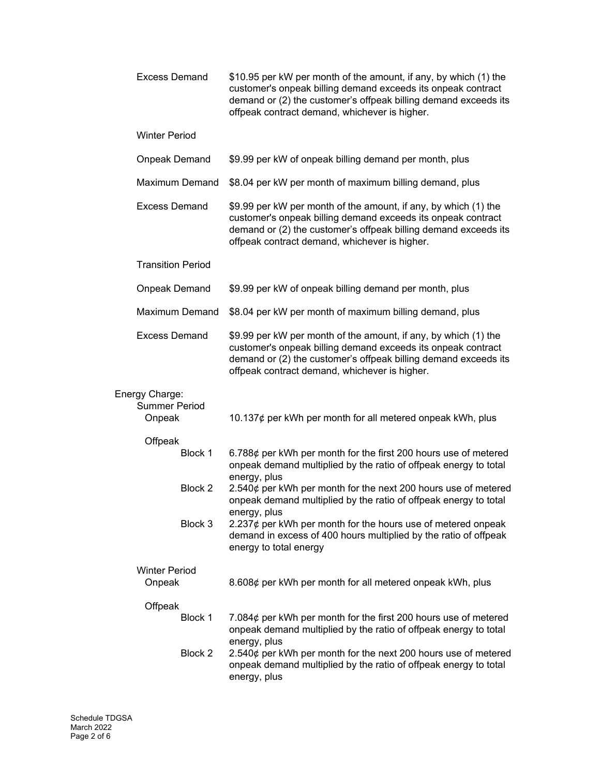| <b>Excess Demand</b>                             |         | \$10.95 per kW per month of the amount, if any, by which (1) the<br>customer's onpeak billing demand exceeds its onpeak contract<br>demand or (2) the customer's offpeak billing demand exceeds its<br>offpeak contract demand, whichever is higher. |
|--------------------------------------------------|---------|------------------------------------------------------------------------------------------------------------------------------------------------------------------------------------------------------------------------------------------------------|
| <b>Winter Period</b>                             |         |                                                                                                                                                                                                                                                      |
| <b>Onpeak Demand</b>                             |         | \$9.99 per kW of onpeak billing demand per month, plus                                                                                                                                                                                               |
| <b>Maximum Demand</b>                            |         | \$8.04 per kW per month of maximum billing demand, plus                                                                                                                                                                                              |
| <b>Excess Demand</b>                             |         | \$9.99 per kW per month of the amount, if any, by which (1) the<br>customer's onpeak billing demand exceeds its onpeak contract<br>demand or (2) the customer's offpeak billing demand exceeds its<br>offpeak contract demand, whichever is higher.  |
| <b>Transition Period</b>                         |         |                                                                                                                                                                                                                                                      |
| <b>Onpeak Demand</b>                             |         | \$9.99 per kW of onpeak billing demand per month, plus                                                                                                                                                                                               |
| <b>Maximum Demand</b>                            |         | \$8.04 per kW per month of maximum billing demand, plus                                                                                                                                                                                              |
| <b>Excess Demand</b>                             |         | \$9.99 per kW per month of the amount, if any, by which (1) the<br>customer's onpeak billing demand exceeds its onpeak contract<br>demand or (2) the customer's offpeak billing demand exceeds its<br>offpeak contract demand, whichever is higher.  |
| Energy Charge:<br><b>Summer Period</b><br>Onpeak |         | 10.137¢ per kWh per month for all metered onpeak kWh, plus                                                                                                                                                                                           |
| Offpeak<br>Block 1                               |         | 6.788¢ per kWh per month for the first 200 hours use of metered<br>onpeak demand multiplied by the ratio of offpeak energy to total                                                                                                                  |
|                                                  | Block 2 | energy, plus<br>2.540¢ per kWh per month for the next 200 hours use of metered<br>onpeak demand multiplied by the ratio of offpeak energy to total<br>energy, plus                                                                                   |
|                                                  | Block 3 | 2.237 $\phi$ per kWh per month for the hours use of metered onpeak<br>demand in excess of 400 hours multiplied by the ratio of offpeak<br>energy to total energy                                                                                     |
| <b>Winter Period</b><br>Onpeak                   |         | 8.608¢ per kWh per month for all metered onpeak kWh, plus                                                                                                                                                                                            |
| Offpeak                                          |         |                                                                                                                                                                                                                                                      |
|                                                  | Block 1 | 7.084 $\phi$ per kWh per month for the first 200 hours use of metered<br>onpeak demand multiplied by the ratio of offpeak energy to total                                                                                                            |
|                                                  | Block 2 | energy, plus<br>2.540¢ per kWh per month for the next 200 hours use of metered<br>onpeak demand multiplied by the ratio of offpeak energy to total<br>energy, plus                                                                                   |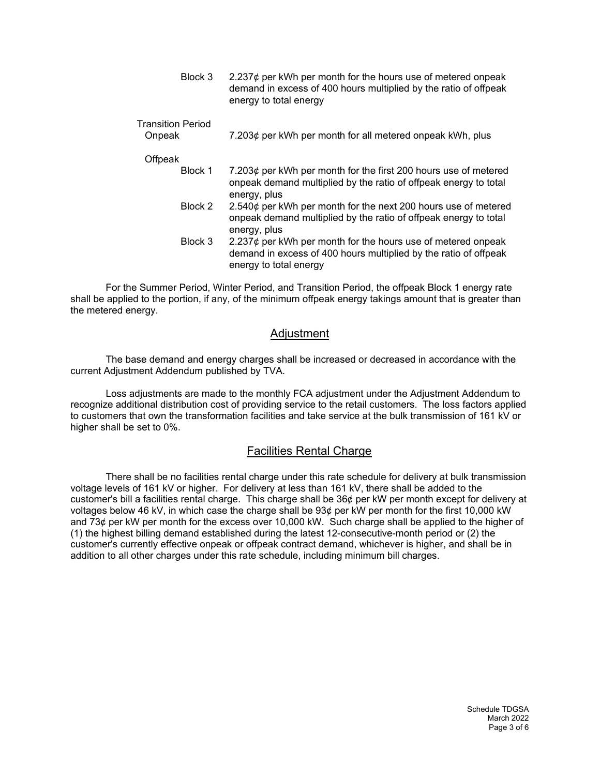Block 3  $2.237\phi$  per kWh per month for the hours use of metered onpeak demand in excess of 400 hours multiplied by the ratio of offpeak energy to total energy

Transition Period

Onpeak 7.203¢ per kWh per month for all metered onpeak kWh, plus

**Offpeak** 

- Block 1 7.203¢ per kWh per month for the first 200 hours use of metered onpeak demand multiplied by the ratio of offpeak energy to total energy, plus
- Block 2 2.540¢ per kWh per month for the next 200 hours use of metered onpeak demand multiplied by the ratio of offpeak energy to total energy, plus
- Block 3 2.237¢ per kWh per month for the hours use of metered onpeak demand in excess of 400 hours multiplied by the ratio of offpeak energy to total energy

For the Summer Period, Winter Period, and Transition Period, the offpeak Block 1 energy rate shall be applied to the portion, if any, of the minimum offpeak energy takings amount that is greater than the metered energy.

## Adjustment

The base demand and energy charges shall be increased or decreased in accordance with the current Adjustment Addendum published by TVA.

Loss adjustments are made to the monthly FCA adjustment under the Adjustment Addendum to recognize additional distribution cost of providing service to the retail customers. The loss factors applied to customers that own the transformation facilities and take service at the bulk transmission of 161 kV or higher shall be set to 0%.

### Facilities Rental Charge

There shall be no facilities rental charge under this rate schedule for delivery at bulk transmission voltage levels of 161 kV or higher. For delivery at less than 161 kV, there shall be added to the customer's bill a facilities rental charge. This charge shall be 36¢ per kW per month except for delivery at voltages below 46 kV, in which case the charge shall be 93¢ per kW per month for the first 10,000 kW and 73¢ per kW per month for the excess over 10,000 kW. Such charge shall be applied to the higher of (1) the highest billing demand established during the latest 12-consecutive-month period or (2) the customer's currently effective onpeak or offpeak contract demand, whichever is higher, and shall be in addition to all other charges under this rate schedule, including minimum bill charges.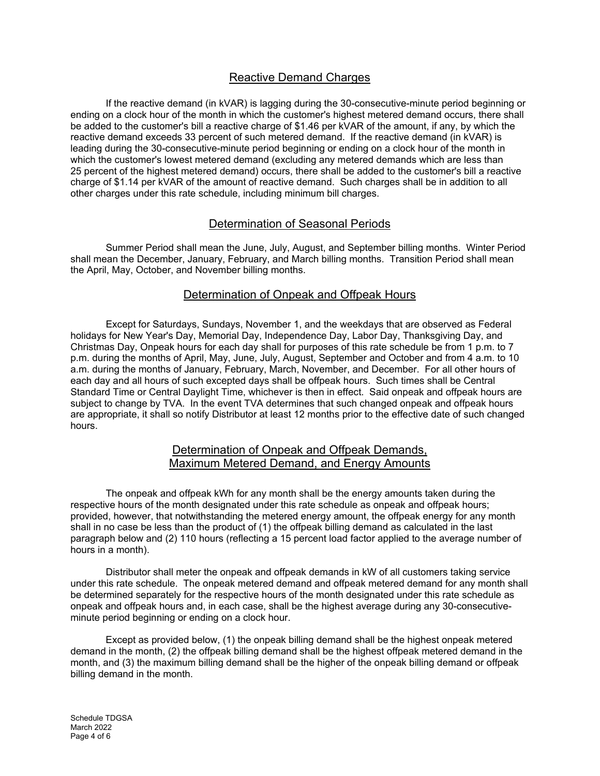# Reactive Demand Charges

If the reactive demand (in kVAR) is lagging during the 30-consecutive-minute period beginning or ending on a clock hour of the month in which the customer's highest metered demand occurs, there shall be added to the customer's bill a reactive charge of \$1.46 per kVAR of the amount, if any, by which the reactive demand exceeds 33 percent of such metered demand. If the reactive demand (in kVAR) is leading during the 30-consecutive-minute period beginning or ending on a clock hour of the month in which the customer's lowest metered demand (excluding any metered demands which are less than 25 percent of the highest metered demand) occurs, there shall be added to the customer's bill a reactive charge of \$1.14 per kVAR of the amount of reactive demand. Such charges shall be in addition to all other charges under this rate schedule, including minimum bill charges.

## Determination of Seasonal Periods

Summer Period shall mean the June, July, August, and September billing months. Winter Period shall mean the December, January, February, and March billing months. Transition Period shall mean the April, May, October, and November billing months.

## Determination of Onpeak and Offpeak Hours

Except for Saturdays, Sundays, November 1, and the weekdays that are observed as Federal holidays for New Year's Day, Memorial Day, Independence Day, Labor Day, Thanksgiving Day, and Christmas Day, Onpeak hours for each day shall for purposes of this rate schedule be from 1 p.m. to 7 p.m. during the months of April, May, June, July, August, September and October and from 4 a.m. to 10 a.m. during the months of January, February, March, November, and December. For all other hours of each day and all hours of such excepted days shall be offpeak hours. Such times shall be Central Standard Time or Central Daylight Time, whichever is then in effect. Said onpeak and offpeak hours are subject to change by TVA. In the event TVA determines that such changed onpeak and offpeak hours are appropriate, it shall so notify Distributor at least 12 months prior to the effective date of such changed hours.

### Determination of Onpeak and Offpeak Demands, Maximum Metered Demand, and Energy Amounts

The onpeak and offpeak kWh for any month shall be the energy amounts taken during the respective hours of the month designated under this rate schedule as onpeak and offpeak hours; provided, however, that notwithstanding the metered energy amount, the offpeak energy for any month shall in no case be less than the product of (1) the offpeak billing demand as calculated in the last paragraph below and (2) 110 hours (reflecting a 15 percent load factor applied to the average number of hours in a month).

Distributor shall meter the onpeak and offpeak demands in kW of all customers taking service under this rate schedule. The onpeak metered demand and offpeak metered demand for any month shall be determined separately for the respective hours of the month designated under this rate schedule as onpeak and offpeak hours and, in each case, shall be the highest average during any 30-consecutiveminute period beginning or ending on a clock hour.

Except as provided below, (1) the onpeak billing demand shall be the highest onpeak metered demand in the month, (2) the offpeak billing demand shall be the highest offpeak metered demand in the month, and (3) the maximum billing demand shall be the higher of the onpeak billing demand or offpeak billing demand in the month.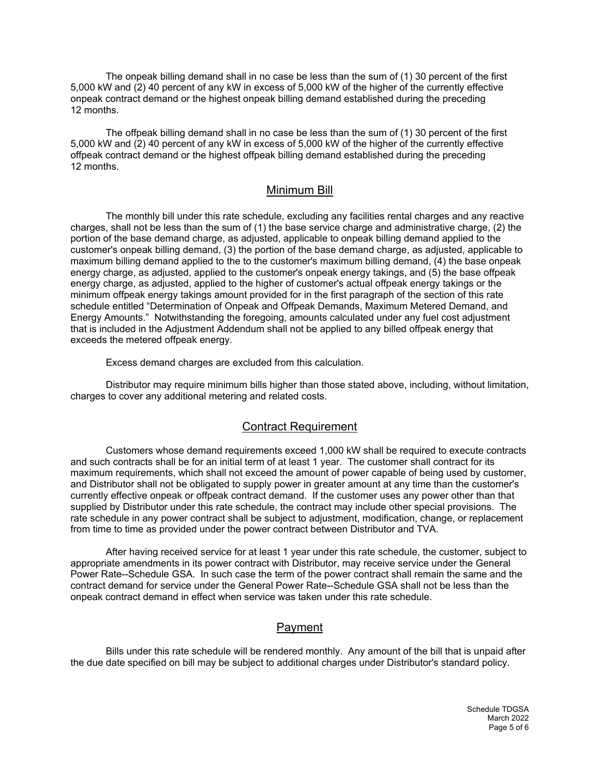The onpeak billing demand shall in no case be less than the sum of (1) 30 percent of the first 5,000 kW and (2) 40 percent of any kW in excess of 5,000 kW of the higher of the currently effective onpeak contract demand or the highest onpeak billing demand established during the preceding 12 months.

The offpeak billing demand shall in no case be less than the sum of (1) 30 percent of the first 5,000 kW and (2) 40 percent of any kW in excess of 5,000 kW of the higher of the currently effective offpeak contract demand or the highest offpeak billing demand established during the preceding 12 months.

### Minimum Bill

The monthly bill under this rate schedule, excluding any facilities rental charges and any reactive charges, shall not be less than the sum of (1) the base service charge and administrative charge, (2) the portion of the base demand charge, as adjusted, applicable to onpeak billing demand applied to the customer's onpeak billing demand, (3) the portion of the base demand charge, as adjusted, applicable to maximum billing demand applied to the to the customer's maximum billing demand, (4) the base onpeak energy charge, as adjusted, applied to the customer's onpeak energy takings, and (5) the base offpeak energy charge, as adjusted, applied to the higher of customer's actual offpeak energy takings or the minimum offpeak energy takings amount provided for in the first paragraph of the section of this rate schedule entitled "Determination of Onpeak and Offpeak Demands, Maximum Metered Demand, and Energy Amounts." Notwithstanding the foregoing, amounts calculated under any fuel cost adjustment that is included in the Adjustment Addendum shall not be applied to any billed offpeak energy that exceeds the metered offpeak energy.

Excess demand charges are excluded from this calculation.

Distributor may require minimum bills higher than those stated above, including, without limitation, charges to cover any additional metering and related costs.

#### Contract Requirement

Customers whose demand requirements exceed 1,000 kW shall be required to execute contracts and such contracts shall be for an initial term of at least 1 year. The customer shall contract for its maximum requirements, which shall not exceed the amount of power capable of being used by customer, and Distributor shall not be obligated to supply power in greater amount at any time than the customer's currently effective onpeak or offpeak contract demand. If the customer uses any power other than that supplied by Distributor under this rate schedule, the contract may include other special provisions. The rate schedule in any power contract shall be subject to adjustment, modification, change, or replacement from time to time as provided under the power contract between Distributor and TVA.

After having received service for at least 1 year under this rate schedule, the customer, subject to appropriate amendments in its power contract with Distributor, may receive service under the General Power Rate--Schedule GSA. In such case the term of the power contract shall remain the same and the contract demand for service under the General Power Rate--Schedule GSA shall not be less than the onpeak contract demand in effect when service was taken under this rate schedule.

# Payment

Bills under this rate schedule will be rendered monthly. Any amount of the bill that is unpaid after the due date specified on bill may be subject to additional charges under Distributor's standard policy.